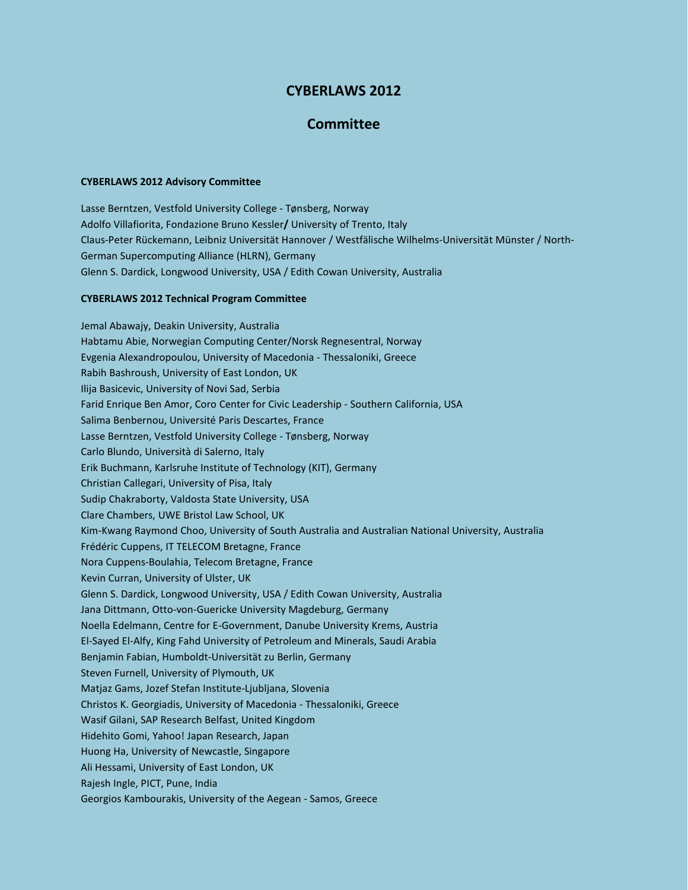## **CYBERLAWS 2012**

## **Committee**

## **CYBERLAWS 2012 Advisory Committee**

Lasse Berntzen, Vestfold University College - Tønsberg, Norway Adolfo Villafiorita, Fondazione Bruno Kessler**/** University of Trento, Italy Claus-Peter Rückemann, Leibniz Universität Hannover / Westfälische Wilhelms-Universität Münster / North-German Supercomputing Alliance (HLRN), Germany Glenn S. Dardick, Longwood University, USA / Edith Cowan University, Australia

## **CYBERLAWS 2012 Technical Program Committee**

Jemal Abawajy, Deakin University, Australia Habtamu Abie, Norwegian Computing Center/Norsk Regnesentral, Norway Evgenia Alexandropoulou, University of Macedonia - Thessaloniki, Greece Rabih Bashroush, University of East London, UK Ilija Basicevic, University of Novi Sad, Serbia Farid Enrique Ben Amor, Coro Center for Civic Leadership - Southern California, USA Salima Benbernou, Université Paris Descartes, France Lasse Berntzen, Vestfold University College - Tønsberg, Norway Carlo Blundo, Università di Salerno, Italy Erik Buchmann, Karlsruhe Institute of Technology (KIT), Germany Christian Callegari, University of Pisa, Italy Sudip Chakraborty, Valdosta State University, USA Clare Chambers, UWE Bristol Law School, UK Kim-Kwang Raymond Choo, University of South Australia and Australian National University, Australia Frédéric Cuppens, IT TELECOM Bretagne, France Nora Cuppens-Boulahia, Telecom Bretagne, France Kevin Curran, University of Ulster, UK Glenn S. Dardick, Longwood University, USA / Edith Cowan University, Australia Jana Dittmann, Otto-von-Guericke University Magdeburg, Germany Noella Edelmann, Centre for E-Government, Danube University Krems, Austria El-Sayed El-Alfy, King Fahd University of Petroleum and Minerals, Saudi Arabia Benjamin Fabian, Humboldt-Universität zu Berlin, Germany Steven Furnell, University of Plymouth, UK Matjaz Gams, Jozef Stefan Institute-Ljubljana, Slovenia Christos K. Georgiadis, University of Macedonia - Thessaloniki, Greece Wasif Gilani, SAP Research Belfast, United Kingdom Hidehito Gomi, Yahoo! Japan Research, Japan Huong Ha, University of Newcastle, Singapore Ali Hessami, University of East London, UK Rajesh Ingle, PICT, Pune, India Georgios Kambourakis, University of the Aegean - Samos, Greece